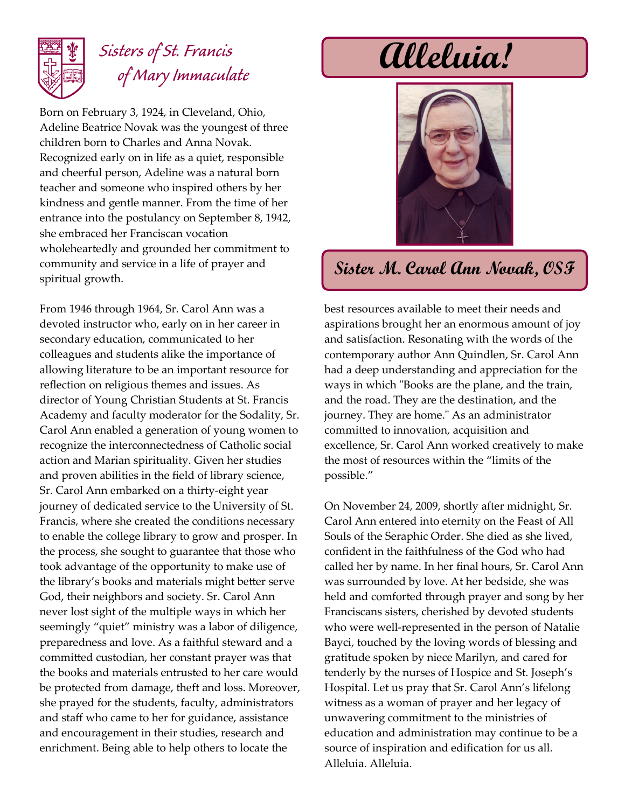

## *Sisters of St. Francis of Mary Immaculate*

Born on February 3, 1924, in Cleveland, Ohio, Adeline Beatrice Novak was the youngest of three children born to Charles and Anna Novak. Recognized early on in life as a quiet, responsible and cheerful person, Adeline was a natural born teacher and someone who inspired others by her kindness and gentle manner. From the time of her entrance into the postulancy on September 8, 1942, she embraced her Franciscan vocation wholeheartedly and grounded her commitment to community and service in a life of prayer and spiritual growth.

From 1946 through 1964, Sr. Carol Ann was a devoted instructor who, early on in her career in secondary education, communicated to her colleagues and students alike the importance of allowing literature to be an important resource for reflection on religious themes and issues. As director of Young Christian Students at St. Francis Academy and faculty moderator for the Sodality, Sr. Carol Ann enabled a generation of young women to recognize the interconnectedness of Catholic social action and Marian spirituality. Given her studies and proven abilities in the field of library science, Sr. Carol Ann embarked on a thirty-eight year journey of dedicated service to the University of St. Francis, where she created the conditions necessary to enable the college library to grow and prosper. In the process, she sought to guarantee that those who took advantage of the opportunity to make use of the library's books and materials might better serve God, their neighbors and society. Sr. Carol Ann never lost sight of the multiple ways in which her seemingly "quiet" ministry was a labor of diligence, preparedness and love. As a faithful steward and a committed custodian, her constant prayer was that the books and materials entrusted to her care would be protected from damage, theft and loss. Moreover, she prayed for the students, faculty, administrators and staff who came to her for guidance, assistance and encouragement in their studies, research and enrichment. Being able to help others to locate the

# **Alleluia!**



### **Sister M. Carol Ann Novak, OSF**

best resources available to meet their needs and aspirations brought her an enormous amount of joy and satisfaction. Resonating with the words of the contemporary author Ann Quindlen, Sr. Carol Ann had a deep understanding and appreciation for the ways in which "Books are the plane, and the train, and the road. They are the destination, and the journey. They are home." As an administrator committed to innovation, acquisition and excellence, Sr. Carol Ann worked creatively to make the most of resources within the "limits of the possible."

On November 24, 2009, shortly after midnight, Sr. Carol Ann entered into eternity on the Feast of All Souls of the Seraphic Order. She died as she lived, confident in the faithfulness of the God who had called her by name. In her final hours, Sr. Carol Ann was surrounded by love. At her bedside, she was held and comforted through prayer and song by her Franciscans sisters, cherished by devoted students who were well-represented in the person of Natalie Bayci, touched by the loving words of blessing and gratitude spoken by niece Marilyn, and cared for tenderly by the nurses of Hospice and St. Joseph's Hospital. Let us pray that Sr. Carol Ann's lifelong witness as a woman of prayer and her legacy of unwavering commitment to the ministries of education and administration may continue to be a source of inspiration and edification for us all. Alleluia. Alleluia.